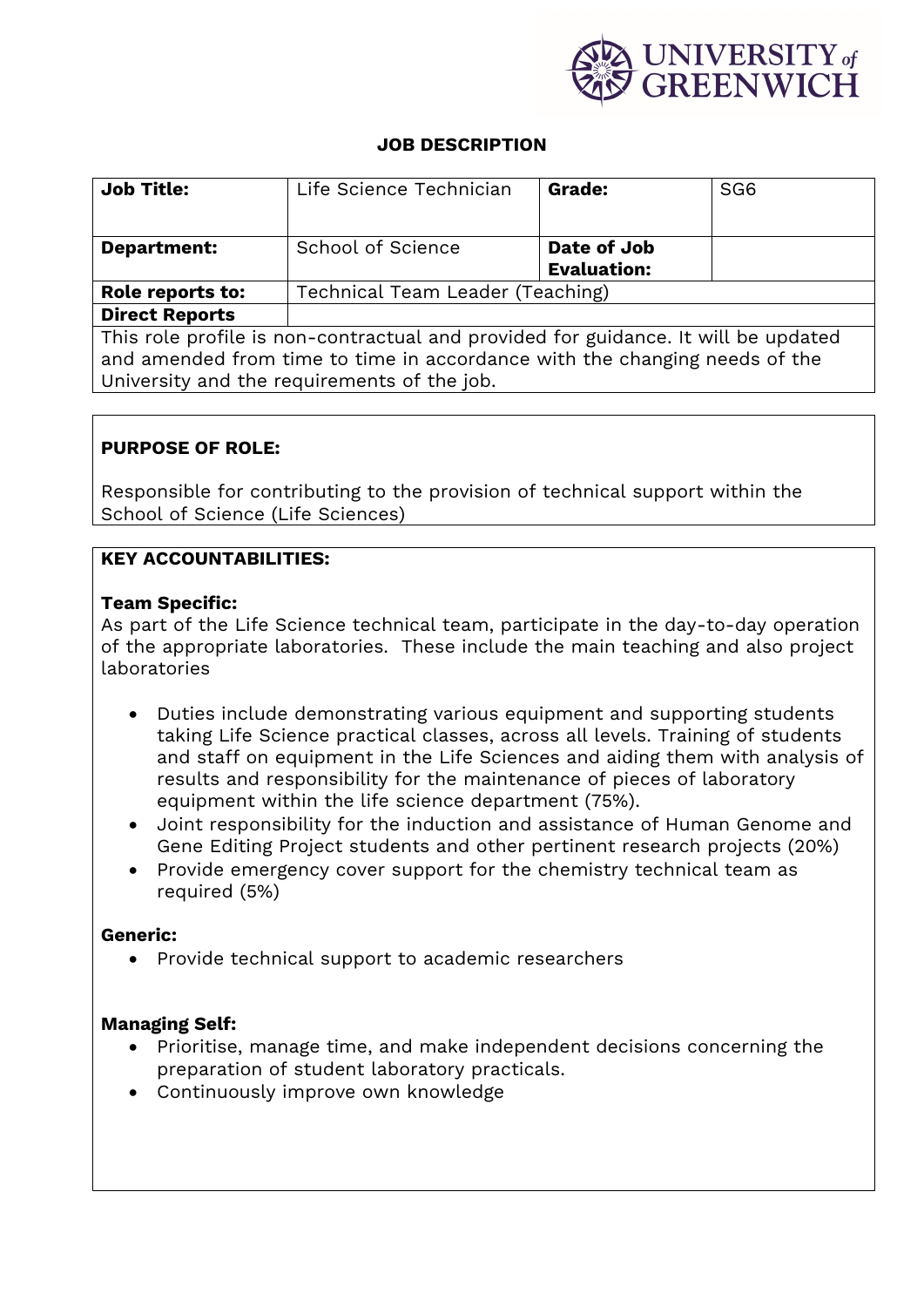

## **JOB DESCRIPTION**

| <b>Job Title:</b>                                                                                                                                                                                               | Life Science Technician          | <b>Grade:</b>                     | SG <sub>6</sub> |
|-----------------------------------------------------------------------------------------------------------------------------------------------------------------------------------------------------------------|----------------------------------|-----------------------------------|-----------------|
| <b>Department:</b>                                                                                                                                                                                              | School of Science                | Date of Job<br><b>Evaluation:</b> |                 |
| Role reports to:                                                                                                                                                                                                | Technical Team Leader (Teaching) |                                   |                 |
| <b>Direct Reports</b>                                                                                                                                                                                           |                                  |                                   |                 |
| This role profile is non-contractual and provided for guidance. It will be updated<br>and amended from time to time in accordance with the changing needs of the<br>University and the requirements of the job. |                                  |                                   |                 |

## **PURPOSE OF ROLE:**

Responsible for contributing to the provision of technical support within the School of Science (Life Sciences)

## **KEY ACCOUNTABILITIES:**

#### **Team Specific:**

As part of the Life Science technical team, participate in the day-to-day operation of the appropriate laboratories. These include the main teaching and also project laboratories

- Duties include demonstrating various equipment and supporting students taking Life Science practical classes, across all levels. Training of students and staff on equipment in the Life Sciences and aiding them with analysis of results and responsibility for the maintenance of pieces of laboratory equipment within the life science department (75%).
- Joint responsibility for the induction and assistance of Human Genome and Gene Editing Project students and other pertinent research projects (20%)
- Provide emergency cover support for the chemistry technical team as required (5%)

#### **Generic:**

• Provide technical support to academic researchers

## **Managing Self:**

- Prioritise, manage time, and make independent decisions concerning the preparation of student laboratory practicals.
- Continuously improve own knowledge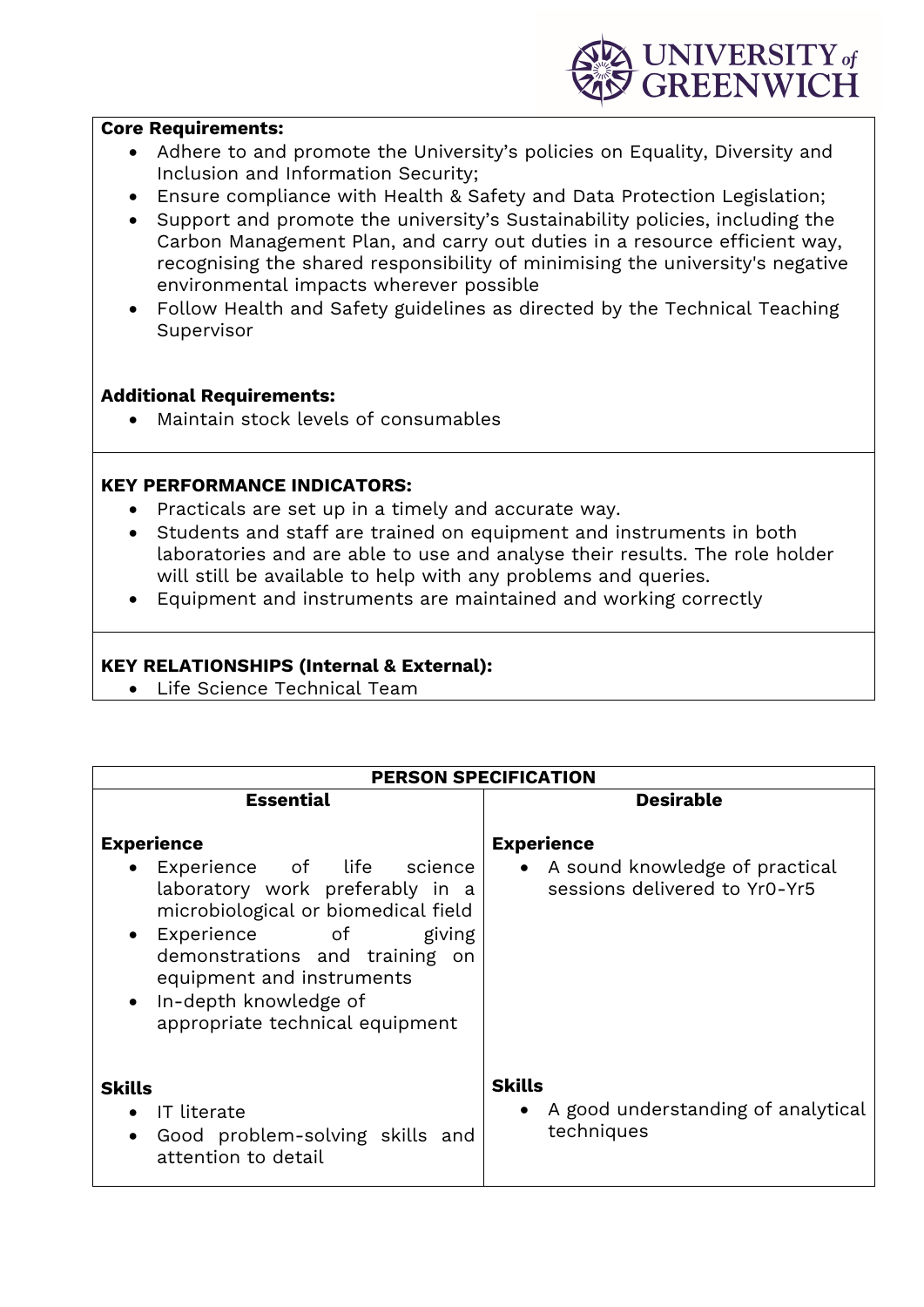

### **Core Requirements:**

- Adhere to and promote the University's policies on Equality, Diversity and Inclusion and Information Security;
- Ensure compliance with Health & Safety and Data Protection Legislation;
- Support and promote the university's Sustainability policies, including the Carbon Management Plan, and carry out duties in a resource efficient way, recognising the shared responsibility of minimising the university's negative environmental impacts wherever possible
- Follow Health and Safety guidelines as directed by the Technical Teaching Supervisor

## **Additional Requirements:**

• Maintain stock levels of consumables

## **KEY PERFORMANCE INDICATORS:**

- Practicals are set up in a timely and accurate way.
- Students and staff are trained on equipment and instruments in both laboratories and are able to use and analyse their results. The role holder will still be available to help with any problems and queries.
- Equipment and instruments are maintained and working correctly

# **KEY RELATIONSHIPS (Internal & External):**

• Life Science Technical Team

| <b>PERSON SPECIFICATION</b>                                                                                                                                                                                                                                                  |                                                                                        |  |  |
|------------------------------------------------------------------------------------------------------------------------------------------------------------------------------------------------------------------------------------------------------------------------------|----------------------------------------------------------------------------------------|--|--|
| <b>Essential</b>                                                                                                                                                                                                                                                             | <b>Desirable</b>                                                                       |  |  |
| <b>Experience</b><br>Experience of life science<br>laboratory work preferably in a<br>microbiological or biomedical field<br>Experience of giving<br>demonstrations and training on<br>equipment and instruments<br>In-depth knowledge of<br>appropriate technical equipment | <b>Experience</b><br>• A sound knowledge of practical<br>sessions delivered to Yr0-Yr5 |  |  |
| <b>Skills</b><br>IT literate<br>Good problem-solving skills and<br>attention to detail                                                                                                                                                                                       | <b>Skills</b><br>• A good understanding of analytical<br>techniques                    |  |  |